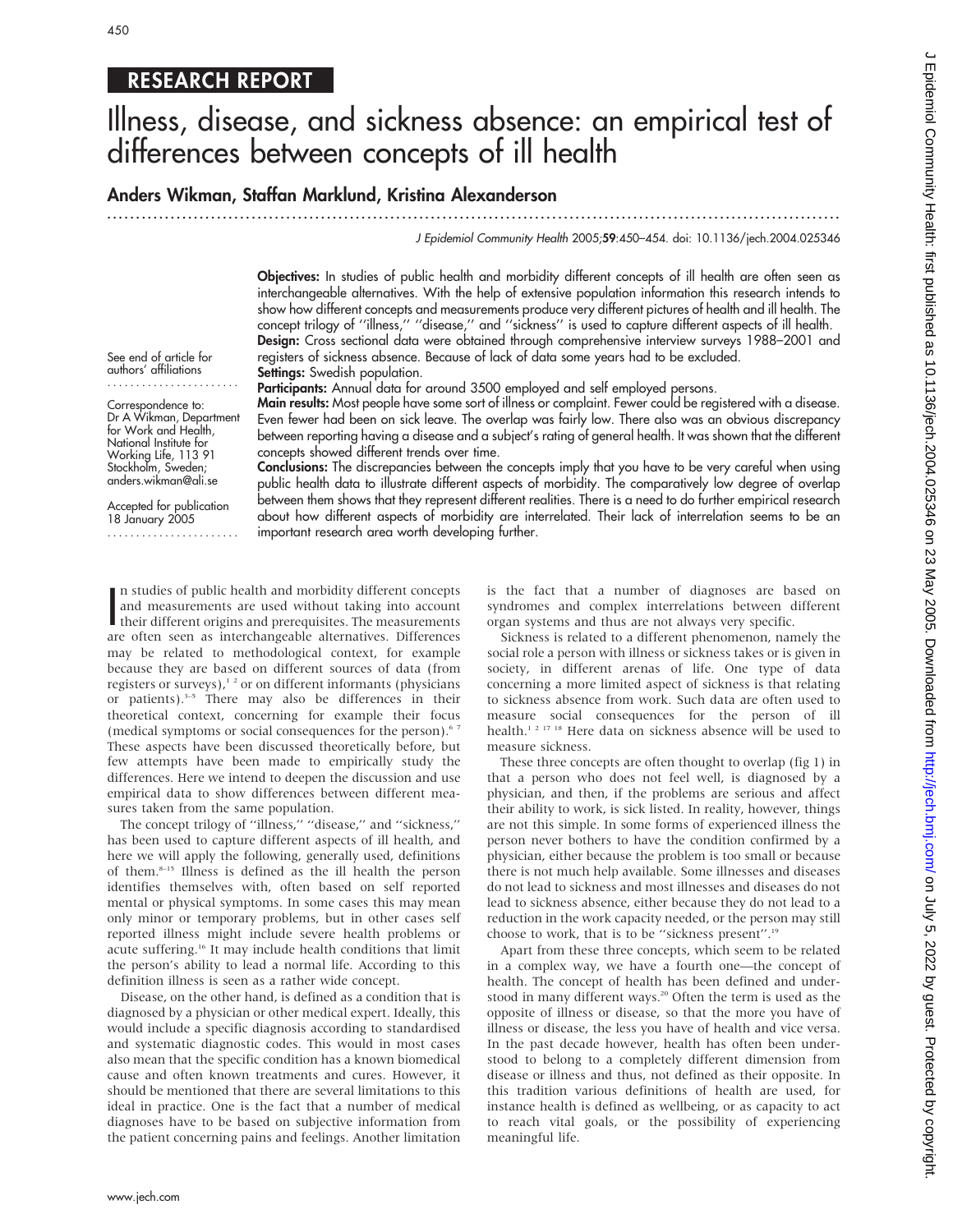# RESEARCH REPORT

# Illness, disease, and sickness absence: an empirical test of differences between concepts of ill health

# Anders Wikman, Staffan Marklund, Kristina Alexanderson

...............................................................................................................................

J Epidemiol Community Health 2005;59:450–454. doi: 10.1136/jech.2004.025346

Objectives: In studies of public health and morbidity different concepts of ill health are often seen as interchangeable alternatives. With the help of extensive population information this research intends to show how different concepts and measurements produce very different pictures of health and ill health. The concept trilogy of ''illness,'' ''disease,'' and ''sickness'' is used to capture different aspects of ill health. Design: Cross sectional data were obtained through comprehensive interview surveys 1988–2001 and registers of sickness absence. Because of lack of data some years had to be excluded. Settings: Swedish population.

Participants: Annual data for around 3500 employed and self employed persons.

Main results: Most people have some sort of illness or complaint. Fewer could be registered with a disease. Even fewer had been on sick leave. The overlap was fairly low. There also was an obvious discrepancy between reporting having a disease and a subject's rating of general health. It was shown that the different concepts showed different trends over time.

Conclusions: The discrepancies between the concepts imply that you have to be very careful when using public health data to illustrate different aspects of morbidity. The comparatively low degree of overlap between them shows that they represent different realities. There is a need to do further empirical research about how different aspects of morbidity are interrelated. Their lack of interrelation seems to be an important research area worth developing further.

See end of article for authors' affiliations .......................

Correspondence to: Dr A Wikman, Department for Work and Health, National Institute for Working Life, 113 91 Stockholm, Sweden; anders.wikman@ali.se

Accepted for publication 18 January 2005 .......................

In studies of public health and morbidity different concepts<br>and measurements are used without taking into account<br>their different origins and prerequisites. The measurements<br>are often coon as interchangeable alternatives. n studies of public health and morbidity different concepts and measurements are used without taking into account are often seen as interchangeable alternatives. Differences may be related to methodological context, for example because they are based on different sources of data (from registers or surveys), $1<sup>2</sup>$  or on different informants (physicians or patients).<sup>3-5</sup> There may also be differences in their theoretical context, concerning for example their focus (medical symptoms or social consequences for the person).<sup>67</sup> These aspects have been discussed theoretically before, but few attempts have been made to empirically study the differences. Here we intend to deepen the discussion and use empirical data to show differences between different measures taken from the same population.

The concept trilogy of ''illness,'' ''disease,'' and ''sickness,'' has been used to capture different aspects of ill health, and here we will apply the following, generally used, definitions of them.8–15 Illness is defined as the ill health the person identifies themselves with, often based on self reported mental or physical symptoms. In some cases this may mean only minor or temporary problems, but in other cases self reported illness might include severe health problems or acute suffering.<sup>16</sup> It may include health conditions that limit the person's ability to lead a normal life. According to this definition illness is seen as a rather wide concept.

Disease, on the other hand, is defined as a condition that is diagnosed by a physician or other medical expert. Ideally, this would include a specific diagnosis according to standardised and systematic diagnostic codes. This would in most cases also mean that the specific condition has a known biomedical cause and often known treatments and cures. However, it should be mentioned that there are several limitations to this ideal in practice. One is the fact that a number of medical diagnoses have to be based on subjective information from the patient concerning pains and feelings. Another limitation

is the fact that a number of diagnoses are based on syndromes and complex interrelations between different organ systems and thus are not always very specific.

Sickness is related to a different phenomenon, namely the social role a person with illness or sickness takes or is given in society, in different arenas of life. One type of data concerning a more limited aspect of sickness is that relating to sickness absence from work. Such data are often used to measure social consequences for the person of ill health.<sup>1 2 17 18</sup> Here data on sickness absence will be used to measure sickness.

These three concepts are often thought to overlap (fig 1) in that a person who does not feel well, is diagnosed by a physician, and then, if the problems are serious and affect their ability to work, is sick listed. In reality, however, things are not this simple. In some forms of experienced illness the person never bothers to have the condition confirmed by a physician, either because the problem is too small or because there is not much help available. Some illnesses and diseases do not lead to sickness and most illnesses and diseases do not lead to sickness absence, either because they do not lead to a reduction in the work capacity needed, or the person may still choose to work, that is to be ''sickness present''.19

Apart from these three concepts, which seem to be related in a complex way, we have a fourth one—the concept of health. The concept of health has been defined and understood in many different ways.<sup>20</sup> Often the term is used as the opposite of illness or disease, so that the more you have of illness or disease, the less you have of health and vice versa. In the past decade however, health has often been understood to belong to a completely different dimension from disease or illness and thus, not defined as their opposite. In this tradition various definitions of health are used, for instance health is defined as wellbeing, or as capacity to act to reach vital goals, or the possibility of experiencing meaningful life.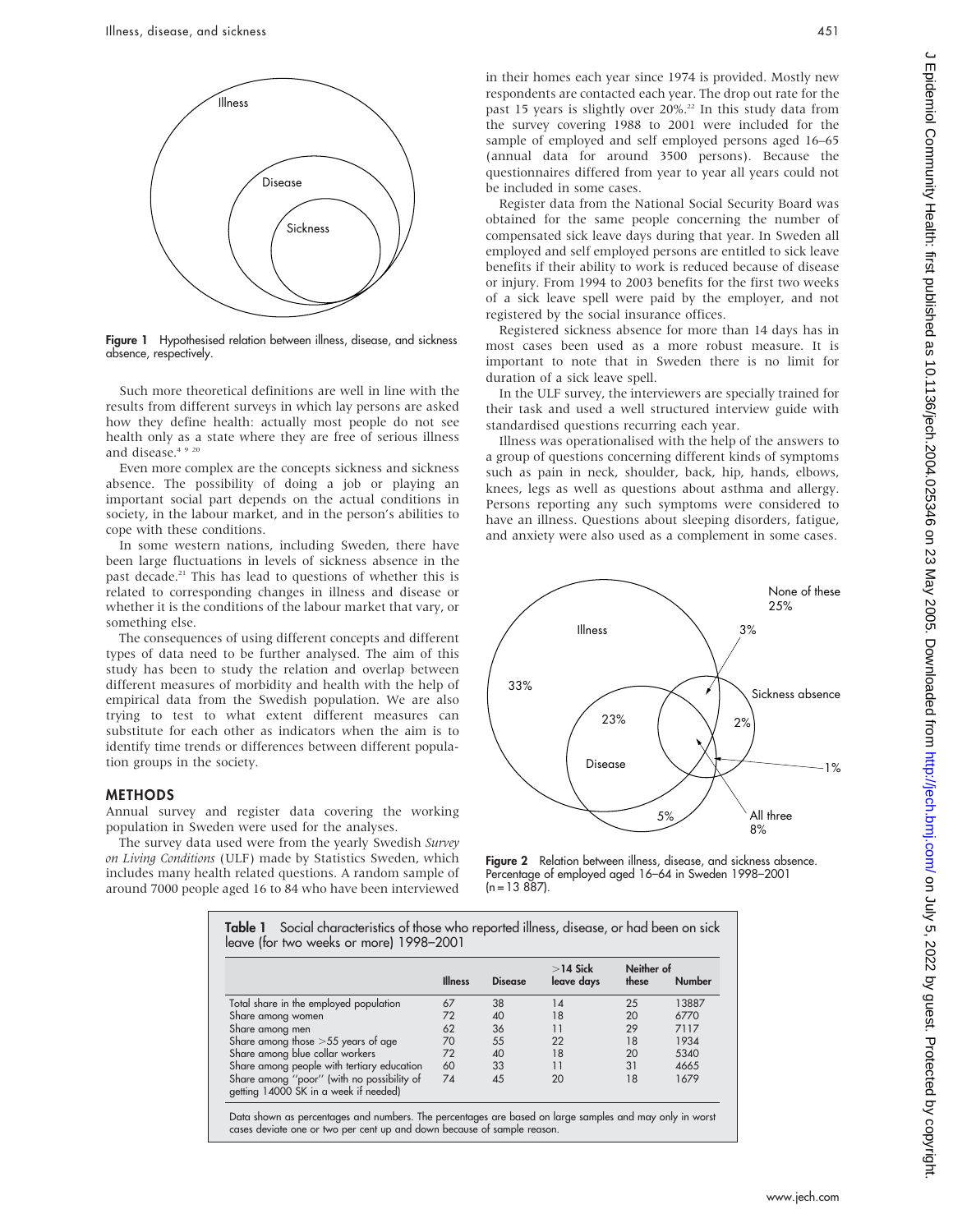

Figure 1 Hypothesised relation between illness, disease, and sickness absence, respectively.

Such more theoretical definitions are well in line with the results from different surveys in which lay persons are asked how they define health: actually most people do not see health only as a state where they are free of serious illness and disease.<sup>4</sup> 9 20

Even more complex are the concepts sickness and sickness absence. The possibility of doing a job or playing an important social part depends on the actual conditions in society, in the labour market, and in the person's abilities to cope with these conditions.

In some western nations, including Sweden, there have been large fluctuations in levels of sickness absence in the past decade.<sup>21</sup> This has lead to questions of whether this is related to corresponding changes in illness and disease or whether it is the conditions of the labour market that vary, or something else.

The consequences of using different concepts and different types of data need to be further analysed. The aim of this study has been to study the relation and overlap between different measures of morbidity and health with the help of empirical data from the Swedish population. We are also trying to test to what extent different measures can substitute for each other as indicators when the aim is to identify time trends or differences between different population groups in the society.

#### METHODS

Annual survey and register data covering the working population in Sweden were used for the analyses.

The survey data used were from the yearly Swedish Survey on Living Conditions (ULF) made by Statistics Sweden, which includes many health related questions. A random sample of around 7000 people aged 16 to 84 who have been interviewed in their homes each year since 1974 is provided. Mostly new respondents are contacted each year. The drop out rate for the past 15 years is slightly over 20%.<sup>22</sup> In this study data from the survey covering 1988 to 2001 were included for the sample of employed and self employed persons aged 16–65 (annual data for around 3500 persons). Because the questionnaires differed from year to year all years could not be included in some cases.

Register data from the National Social Security Board was obtained for the same people concerning the number of compensated sick leave days during that year. In Sweden all employed and self employed persons are entitled to sick leave benefits if their ability to work is reduced because of disease or injury. From 1994 to 2003 benefits for the first two weeks of a sick leave spell were paid by the employer, and not registered by the social insurance offices.

Registered sickness absence for more than 14 days has in most cases been used as a more robust measure. It is important to note that in Sweden there is no limit for duration of a sick leave spell.

In the ULF survey, the interviewers are specially trained for their task and used a well structured interview guide with standardised questions recurring each year.

Illness was operationalised with the help of the answers to a group of questions concerning different kinds of symptoms such as pain in neck, shoulder, back, hip, hands, elbows, knees, legs as well as questions about asthma and allergy. Persons reporting any such symptoms were considered to have an illness. Questions about sleeping disorders, fatigue, and anxiety were also used as a complement in some cases.



Figure 2 Relation between illness, disease, and sickness absence. Percentage of employed aged 16–64 in Sweden 1998–2001  $(n = 13 887)$ .

Table 1 Social characteristics of those who reported illness, disease, or had been on sick leave (for two weeks or more) 1998–2001

|                                                                                     | <b>Illness</b> | <b>Disease</b> | $>$ 14 Sick | Neither of<br><b>Number</b> |       |
|-------------------------------------------------------------------------------------|----------------|----------------|-------------|-----------------------------|-------|
|                                                                                     |                |                | leave days  | these                       |       |
| Total share in the employed population                                              | 67             | 38             | 14          | 25                          | 13887 |
| Share among women                                                                   | 72             | 40             | 18          | 20                          | 6770  |
| Share among men                                                                     | 62             | 36             | 11          | 29                          | 7117  |
| Share among those $>55$ years of age                                                | 70             | 55             | 22          | 18                          | 1934  |
| Share among blue collar workers                                                     | 72             | 40             | 18          | 20                          | 5340  |
| Share among people with tertiary education                                          | 60             | 33             | 11          | 31                          | 4665  |
| Share among "poor" (with no possibility of<br>getting 14000 SK in a week if needed) | 74             | 45             | 20          | 18                          | 1679  |

Data shown as percentages and numbers. The percentages are based on large samples and may only in worst cases deviate one or two per cent up and down because of sample reason.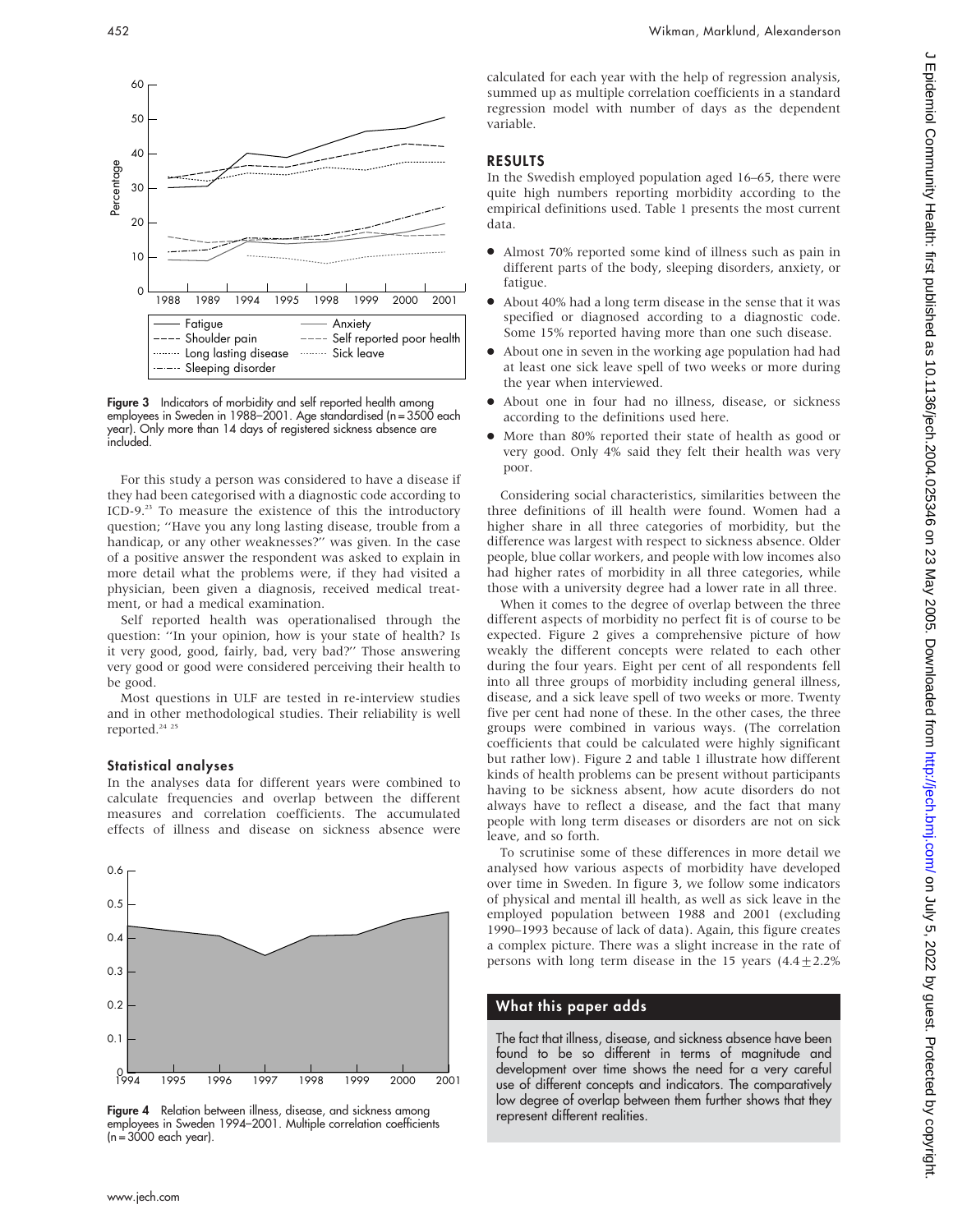

Figure 3 Indicators of morbidity and self reported health among employees in Sweden in 1988-2001. Age standardised (n = 3500 each year). Only more than 14 days of registered sickness absence are included.

For this study a person was considered to have a disease if they had been categorised with a diagnostic code according to ICD-9.<sup>23</sup> To measure the existence of this the introductory question; ''Have you any long lasting disease, trouble from a handicap, or any other weaknesses?'' was given. In the case of a positive answer the respondent was asked to explain in more detail what the problems were, if they had visited a physician, been given a diagnosis, received medical treatment, or had a medical examination.

Self reported health was operationalised through the question: ''In your opinion, how is your state of health? Is it very good, good, fairly, bad, very bad?'' Those answering very good or good were considered perceiving their health to be good.

Most questions in ULF are tested in re-interview studies and in other methodological studies. Their reliability is well reported.<sup>24</sup> <sup>25</sup>

## Statistical analyses

In the analyses data for different years were combined to calculate frequencies and overlap between the different measures and correlation coefficients. The accumulated effects of illness and disease on sickness absence were



Figure 4 Relation between illness, disease, and sickness among employees in Sweden 1994–2001. Multiple correlation coefficients  $(n = 3000$  each year).

calculated for each year with the help of regression analysis, summed up as multiple correlation coefficients in a standard regression model with number of days as the dependent variable.

#### RESULTS

In the Swedish employed population aged 16–65, there were quite high numbers reporting morbidity according to the empirical definitions used. Table 1 presents the most current data.

- Almost 70% reported some kind of illness such as pain in different parts of the body, sleeping disorders, anxiety, or fatigue.
- About 40% had a long term disease in the sense that it was specified or diagnosed according to a diagnostic code. Some 15% reported having more than one such disease.
- About one in seven in the working age population had had at least one sick leave spell of two weeks or more during the year when interviewed.
- About one in four had no illness, disease, or sickness according to the definitions used here.
- More than 80% reported their state of health as good or very good. Only 4% said they felt their health was very poor.

Considering social characteristics, similarities between the three definitions of ill health were found. Women had a higher share in all three categories of morbidity, but the difference was largest with respect to sickness absence. Older people, blue collar workers, and people with low incomes also had higher rates of morbidity in all three categories, while those with a university degree had a lower rate in all three.

When it comes to the degree of overlap between the three different aspects of morbidity no perfect fit is of course to be expected. Figure 2 gives a comprehensive picture of how weakly the different concepts were related to each other during the four years. Eight per cent of all respondents fell into all three groups of morbidity including general illness, disease, and a sick leave spell of two weeks or more. Twenty five per cent had none of these. In the other cases, the three groups were combined in various ways. (The correlation coefficients that could be calculated were highly significant but rather low). Figure 2 and table 1 illustrate how different kinds of health problems can be present without participants having to be sickness absent, how acute disorders do not always have to reflect a disease, and the fact that many people with long term diseases or disorders are not on sick leave, and so forth.

To scrutinise some of these differences in more detail we analysed how various aspects of morbidity have developed over time in Sweden. In figure 3, we follow some indicators of physical and mental ill health, as well as sick leave in the employed population between 1988 and 2001 (excluding 1990–1993 because of lack of data). Again, this figure creates a complex picture. There was a slight increase in the rate of persons with long term disease in the 15 years  $(4.4 \pm 2.2\%)$ 

# What this paper adds

The fact that illness, disease, and sickness absence have been found to be so different in terms of magnitude and development over time shows the need for a very careful use of different concepts and indicators. The comparatively low degree of overlap between them further shows that they represent different realities.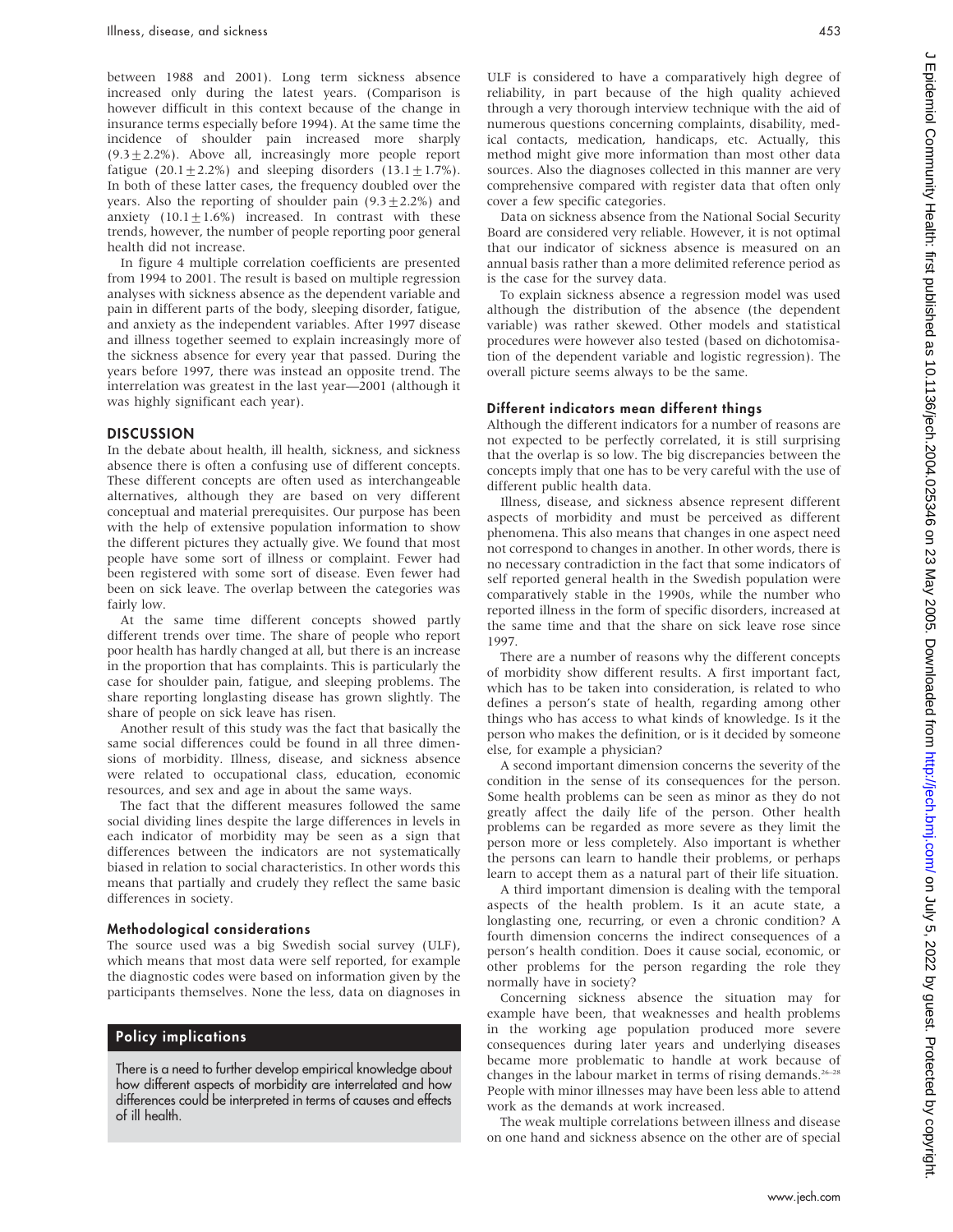between 1988 and 2001). Long term sickness absence increased only during the latest years. (Comparison is however difficult in this context because of the change in insurance terms especially before 1994). At the same time the incidence of shoulder pain increased more sharply  $(9.3 \pm 2.2\%)$ . Above all, increasingly more people report fatigue (20.1 $\pm$ 2.2%) and sleeping disorders (13.1 $\pm$ 1.7%). In both of these latter cases, the frequency doubled over the years. Also the reporting of shoulder pain  $(9.3 \pm 2.2\%)$  and anxiety  $(10.1 \pm 1.6\%)$  increased. In contrast with these trends, however, the number of people reporting poor general health did not increase.

In figure 4 multiple correlation coefficients are presented from 1994 to 2001. The result is based on multiple regression analyses with sickness absence as the dependent variable and pain in different parts of the body, sleeping disorder, fatigue, and anxiety as the independent variables. After 1997 disease and illness together seemed to explain increasingly more of the sickness absence for every year that passed. During the years before 1997, there was instead an opposite trend. The interrelation was greatest in the last year—2001 (although it was highly significant each year).

#### **DISCUSSION**

In the debate about health, ill health, sickness, and sickness absence there is often a confusing use of different concepts. These different concepts are often used as interchangeable alternatives, although they are based on very different conceptual and material prerequisites. Our purpose has been with the help of extensive population information to show the different pictures they actually give. We found that most people have some sort of illness or complaint. Fewer had been registered with some sort of disease. Even fewer had been on sick leave. The overlap between the categories was fairly low.

At the same time different concepts showed partly different trends over time. The share of people who report poor health has hardly changed at all, but there is an increase in the proportion that has complaints. This is particularly the case for shoulder pain, fatigue, and sleeping problems. The share reporting longlasting disease has grown slightly. The share of people on sick leave has risen.

Another result of this study was the fact that basically the same social differences could be found in all three dimensions of morbidity. Illness, disease, and sickness absence were related to occupational class, education, economic resources, and sex and age in about the same ways.

The fact that the different measures followed the same social dividing lines despite the large differences in levels in each indicator of morbidity may be seen as a sign that differences between the indicators are not systematically biased in relation to social characteristics. In other words this means that partially and crudely they reflect the same basic differences in society.

#### Methodological considerations

The source used was a big Swedish social survey (ULF), which means that most data were self reported, for example the diagnostic codes were based on information given by the participants themselves. None the less, data on diagnoses in

# Policy implications

There is a need to further develop empirical knowledge about how different aspects of morbidity are interrelated and how differences could be interpreted in terms of causes and effects of ill health.

ULF is considered to have a comparatively high degree of reliability, in part because of the high quality achieved through a very thorough interview technique with the aid of numerous questions concerning complaints, disability, medical contacts, medication, handicaps, etc. Actually, this method might give more information than most other data sources. Also the diagnoses collected in this manner are very comprehensive compared with register data that often only cover a few specific categories.

Data on sickness absence from the National Social Security Board are considered very reliable. However, it is not optimal that our indicator of sickness absence is measured on an annual basis rather than a more delimited reference period as is the case for the survey data.

To explain sickness absence a regression model was used although the distribution of the absence (the dependent variable) was rather skewed. Other models and statistical procedures were however also tested (based on dichotomisation of the dependent variable and logistic regression). The overall picture seems always to be the same.

#### Different indicators mean different things

Although the different indicators for a number of reasons are not expected to be perfectly correlated, it is still surprising that the overlap is so low. The big discrepancies between the concepts imply that one has to be very careful with the use of different public health data.

Illness, disease, and sickness absence represent different aspects of morbidity and must be perceived as different phenomena. This also means that changes in one aspect need not correspond to changes in another. In other words, there is no necessary contradiction in the fact that some indicators of self reported general health in the Swedish population were comparatively stable in the 1990s, while the number who reported illness in the form of specific disorders, increased at the same time and that the share on sick leave rose since 1997.

There are a number of reasons why the different concepts of morbidity show different results. A first important fact, which has to be taken into consideration, is related to who defines a person's state of health, regarding among other things who has access to what kinds of knowledge. Is it the person who makes the definition, or is it decided by someone else, for example a physician?

A second important dimension concerns the severity of the condition in the sense of its consequences for the person. Some health problems can be seen as minor as they do not greatly affect the daily life of the person. Other health problems can be regarded as more severe as they limit the person more or less completely. Also important is whether the persons can learn to handle their problems, or perhaps learn to accept them as a natural part of their life situation.

A third important dimension is dealing with the temporal aspects of the health problem. Is it an acute state, a longlasting one, recurring, or even a chronic condition? A fourth dimension concerns the indirect consequences of a person's health condition. Does it cause social, economic, or other problems for the person regarding the role they normally have in society?

Concerning sickness absence the situation may for example have been, that weaknesses and health problems in the working age population produced more severe consequences during later years and underlying diseases became more problematic to handle at work because of changes in the labour market in terms of rising demands.<sup>26-28</sup> People with minor illnesses may have been less able to attend work as the demands at work increased.

The weak multiple correlations between illness and disease on one hand and sickness absence on the other are of special

www.jech.com